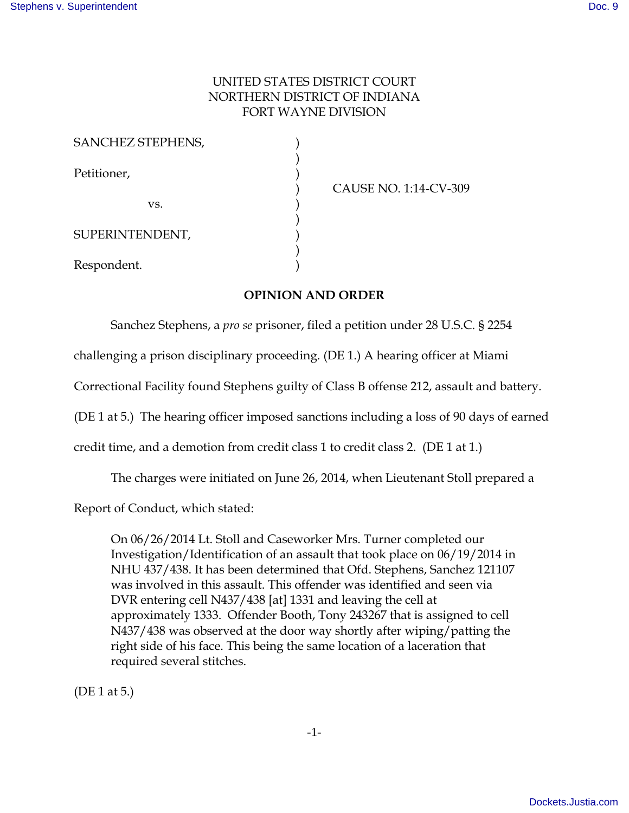## UNITED STATES DISTRICT COURT NORTHERN DISTRICT OF INDIANA FORT WAYNE DIVISION

| <b>SANCHEZ STEPHENS,</b> |                       |
|--------------------------|-----------------------|
| Petitioner,              |                       |
|                          | CAUSE NO. 1:14-CV-309 |
| VS.                      |                       |
|                          |                       |
| SUPERINTENDENT,          |                       |
|                          |                       |
| Respondent.              |                       |

**OPINION AND ORDER**

Sanchez Stephens, a *pro se* prisoner, filed a petition under 28 U.S.C. § 2254

challenging a prison disciplinary proceeding. (DE 1.) A hearing officer at Miami

Correctional Facility found Stephens guilty of Class B offense 212, assault and battery.

(DE 1 at 5.) The hearing officer imposed sanctions including a loss of 90 days of earned

credit time, and a demotion from credit class 1 to credit class 2. (DE 1 at 1.)

The charges were initiated on June 26, 2014, when Lieutenant Stoll prepared a

Report of Conduct, which stated:

On 06/26/2014 Lt. Stoll and Caseworker Mrs. Turner completed our Investigation/Identification of an assault that took place on 06/19/2014 in NHU 437/438. It has been determined that Ofd. Stephens, Sanchez 121107 was involved in this assault. This offender was identified and seen via DVR entering cell N437/438 [at] 1331 and leaving the cell at approximately 1333. Offender Booth, Tony 243267 that is assigned to cell N437/438 was observed at the door way shortly after wiping/patting the right side of his face. This being the same location of a laceration that required several stitches.

(DE 1 at 5.)

-1-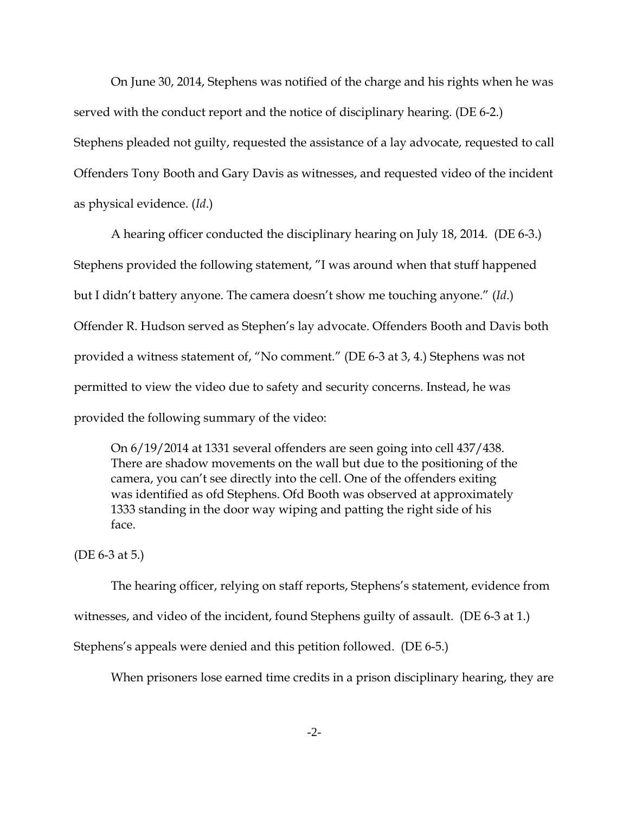On June 30, 2014, Stephens was notified of the charge and his rights when he was served with the conduct report and the notice of disciplinary hearing. (DE 6-2.) Stephens pleaded not guilty, requested the assistance of a lay advocate, requested to call Offenders Tony Booth and Gary Davis as witnesses, and requested video of the incident as physical evidence. (*Id*.)

A hearing officer conducted the disciplinary hearing on July 18, 2014. (DE 6-3.) Stephens provided the following statement, "I was around when that stuff happened but I didn't battery anyone. The camera doesn't show me touching anyone." (*Id*.) Offender R. Hudson served as Stephen's lay advocate. Offenders Booth and Davis both provided a witness statement of, "No comment." (DE 6-3 at 3, 4.) Stephens was not permitted to view the video due to safety and security concerns. Instead, he was provided the following summary of the video:

On 6/19/2014 at 1331 several offenders are seen going into cell 437/438. There are shadow movements on the wall but due to the positioning of the camera, you can't see directly into the cell. One of the offenders exiting was identified as ofd Stephens. Ofd Booth was observed at approximately 1333 standing in the door way wiping and patting the right side of his face.

(DE 6-3 at 5.)

The hearing officer, relying on staff reports, Stephens's statement, evidence from witnesses, and video of the incident, found Stephens guilty of assault. (DE 6-3 at 1.) Stephens's appeals were denied and this petition followed. (DE 6-5.)

When prisoners lose earned time credits in a prison disciplinary hearing, they are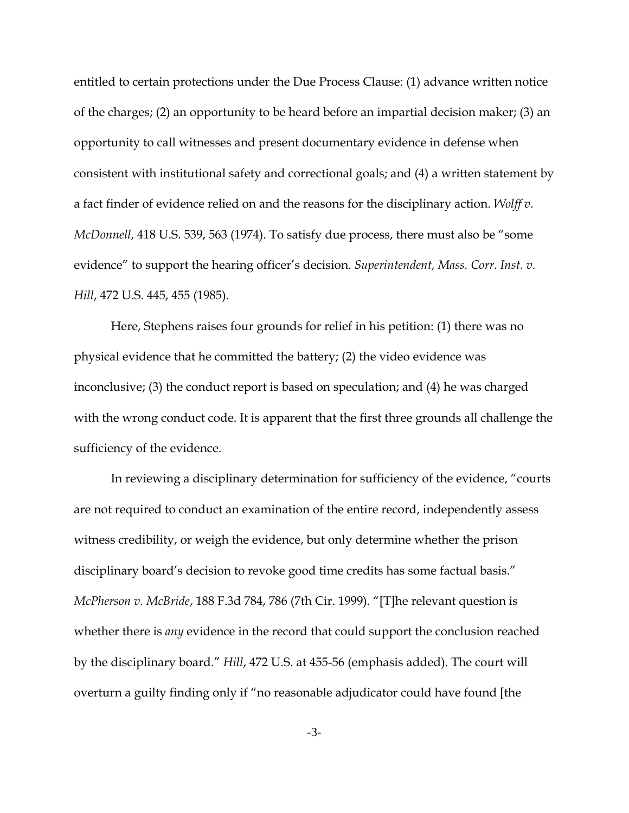entitled to certain protections under the Due Process Clause: (1) advance written notice of the charges; (2) an opportunity to be heard before an impartial decision maker; (3) an opportunity to call witnesses and present documentary evidence in defense when consistent with institutional safety and correctional goals; and (4) a written statement by a fact finder of evidence relied on and the reasons for the disciplinary action. *Wolff v. McDonnell*, 418 U.S. 539, 563 (1974). To satisfy due process, there must also be "some evidence" to support the hearing officer's decision. *Superintendent, Mass. Corr. Inst. v. Hill*, 472 U.S. 445, 455 (1985).

Here, Stephens raises four grounds for relief in his petition: (1) there was no physical evidence that he committed the battery; (2) the video evidence was inconclusive; (3) the conduct report is based on speculation; and (4) he was charged with the wrong conduct code. It is apparent that the first three grounds all challenge the sufficiency of the evidence.

In reviewing a disciplinary determination for sufficiency of the evidence, "courts are not required to conduct an examination of the entire record, independently assess witness credibility, or weigh the evidence, but only determine whether the prison disciplinary board's decision to revoke good time credits has some factual basis." *McPherson v. McBride*, 188 F.3d 784, 786 (7th Cir. 1999). "[T]he relevant question is whether there is *any* evidence in the record that could support the conclusion reached by the disciplinary board." *Hill*, 472 U.S. at 455-56 (emphasis added). The court will overturn a guilty finding only if "no reasonable adjudicator could have found [the

-3-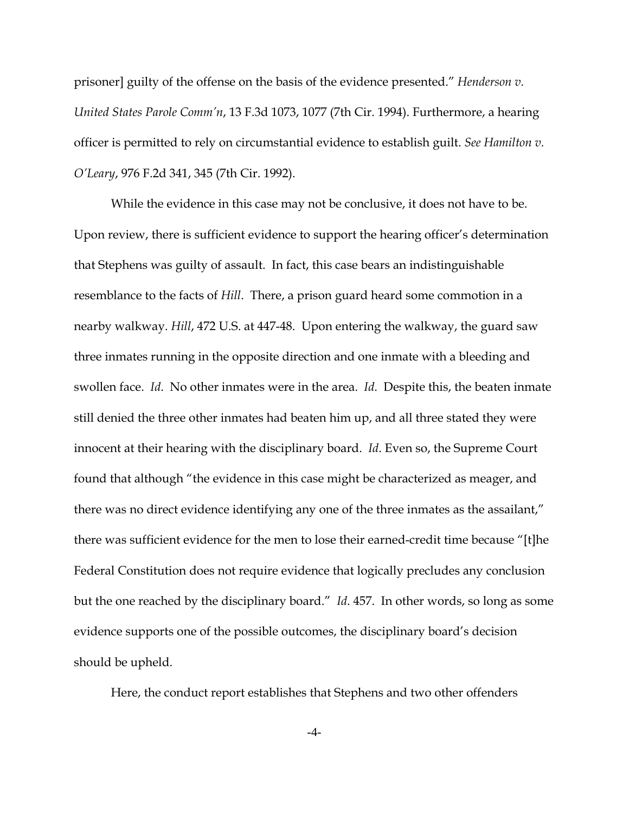prisoner] guilty of the offense on the basis of the evidence presented." *Henderson v. United States Parole Comm'n*, 13 F.3d 1073, 1077 (7th Cir. 1994). Furthermore, a hearing officer is permitted to rely on circumstantial evidence to establish guilt. *See Hamilton v. O'Leary*, 976 F.2d 341, 345 (7th Cir. 1992).

While the evidence in this case may not be conclusive, it does not have to be. Upon review, there is sufficient evidence to support the hearing officer's determination that Stephens was guilty of assault. In fact, this case bears an indistinguishable resemblance to the facts of *Hill*. There, a prison guard heard some commotion in a nearby walkway. *Hill*, 472 U.S. at 447-48. Upon entering the walkway, the guard saw three inmates running in the opposite direction and one inmate with a bleeding and swollen face. *Id*. No other inmates were in the area. *Id*. Despite this, the beaten inmate still denied the three other inmates had beaten him up, and all three stated they were innocent at their hearing with the disciplinary board. *Id*. Even so, the Supreme Court found that although "the evidence in this case might be characterized as meager, and there was no direct evidence identifying any one of the three inmates as the assailant," there was sufficient evidence for the men to lose their earned-credit time because "[t]he Federal Constitution does not require evidence that logically precludes any conclusion but the one reached by the disciplinary board." *Id*. 457. In other words, so long as some evidence supports one of the possible outcomes, the disciplinary board's decision should be upheld.

Here, the conduct report establishes that Stephens and two other offenders

-4-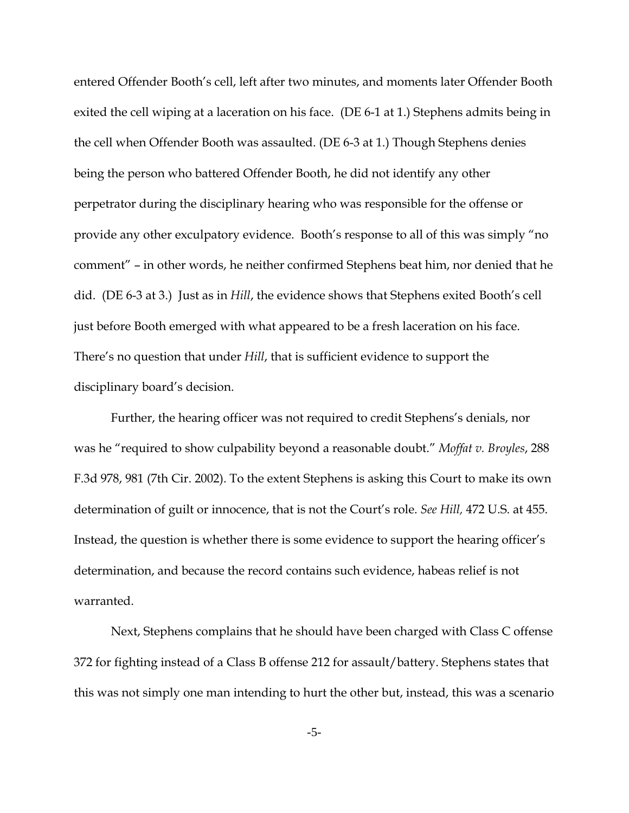entered Offender Booth's cell, left after two minutes, and moments later Offender Booth exited the cell wiping at a laceration on his face. (DE 6-1 at 1.) Stephens admits being in the cell when Offender Booth was assaulted. (DE 6-3 at 1.) Though Stephens denies being the person who battered Offender Booth, he did not identify any other perpetrator during the disciplinary hearing who was responsible for the offense or provide any other exculpatory evidence. Booth's response to all of this was simply "no comment" – in other words, he neither confirmed Stephens beat him, nor denied that he did. (DE 6-3 at 3.) Just as in *Hill*, the evidence shows that Stephens exited Booth's cell just before Booth emerged with what appeared to be a fresh laceration on his face. There's no question that under *Hill*, that is sufficient evidence to support the disciplinary board's decision.

Further, the hearing officer was not required to credit Stephens's denials, nor was he "required to show culpability beyond a reasonable doubt." *Moffat v. Broyles*, 288 F.3d 978, 981 (7th Cir. 2002). To the extent Stephens is asking this Court to make its own determination of guilt or innocence, that is not the Court's role. *See Hill,* 472 U.S. at 455. Instead, the question is whether there is some evidence to support the hearing officer's determination, and because the record contains such evidence, habeas relief is not warranted.

Next, Stephens complains that he should have been charged with Class C offense 372 for fighting instead of a Class B offense 212 for assault/battery. Stephens states that this was not simply one man intending to hurt the other but, instead, this was a scenario

-5-